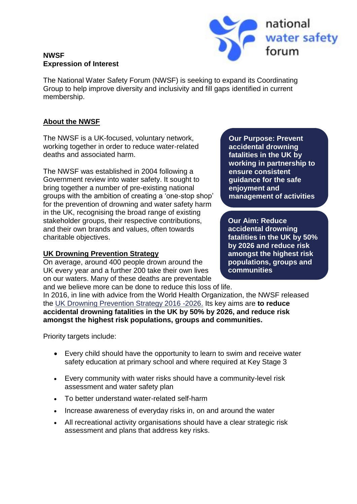



The National Water Safety Forum (NWSF) is seeking to expand its Coordinating Group to help improve diversity and inclusivity and fill gaps identified in current membership.

## **About the NWSF**

The NWSF is a UK-focused, voluntary network, working together in order to reduce water-related deaths and associated harm.

The NWSF was established in 2004 following a Government review into water safety. It sought to bring together a number of pre-existing national groups with the ambition of creating a 'one-stop shop' for the prevention of drowning and water safety harm in the UK, recognising the broad range of existing stakeholder groups, their respective contributions, and their own brands and values, often towards charitable objectives.

# **UK Drowning Prevention Strategy**

On average, around 400 people drown around the UK every year and a further 200 take their own lives on our waters. Many of these deaths are preventable

**Our Purpose: Prevent accidental drowning fatalities in the UK by working in partnership to ensure consistent guidance for the safe enjoyment and management of activities** 

**in, on and around water.**

**Our Aim: Reduce accidental drowning fatalities in the UK by 50% by 2026 and reduce risk amongst the highest risk populations, groups and communities**

and we believe more can be done to reduce this loss of life. In 2016, in line with advice from the World Health Organization, the NWSF released the [UK Drowning Prevention Strategy 2016 -2026.](https://nationalwatersafety.org.uk/media/1005/uk-drowning-prevention-strategy.pdf) Its key aims are **to reduce accidental drowning fatalities in the UK by 50% by 2026, and reduce risk amongst the highest risk populations, groups and communities.**

Priority targets include:

- Every child should have the opportunity to learn to swim and receive water safety education at primary school and where required at Key Stage 3
- Every community with water risks should have a community-level risk assessment and water safety plan
- To better understand water-related self-harm
- Increase awareness of everyday risks in, on and around the water
- All recreational activity organisations should have a clear strategic risk assessment and plans that address key risks.